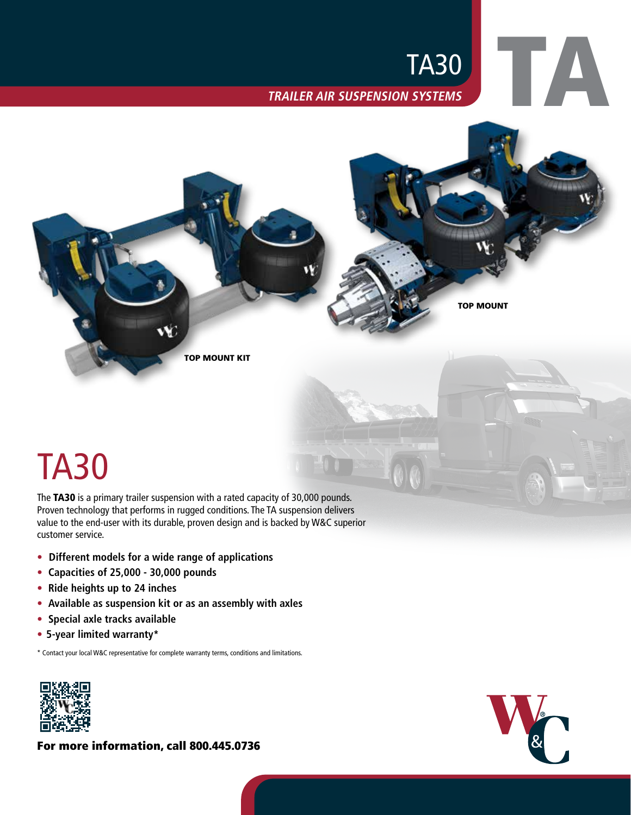# **TRAILER AIR SUSPENSION SYSTEMS** TA30



## TA30

The TA30 is a primary trailer suspension with a rated capacity of 30,000 pounds. Proven technology that performs in rugged conditions. The TA suspension delivers value to the end-user with its durable, proven design and is backed by W&C superior customer service.

- **• Different models for a wide range of applications**
- **• Capacities of 25,000 30,000 pounds**
- **• Ride heights up to 24 inches**
- **• Available as suspension kit or as an assembly with axles**
- **• Special axle tracks available**
- **• 5-year limited warranty\***

\* Contact your local W&C representative for complete warranty terms, conditions and limitations.



For more information, call 800.445.0736